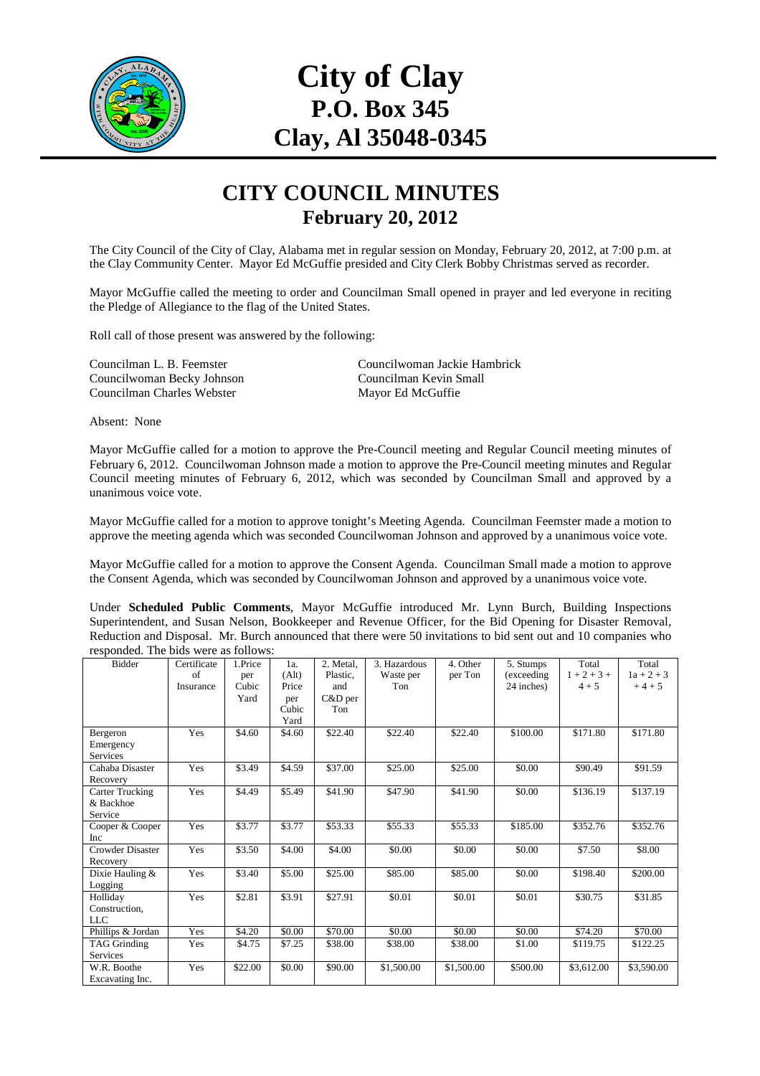

## **City of Clay P.O. Box 345 Clay, Al 35048-0345**

## **CITY COUNCIL MINUTES February 20, 2012**

The City Council of the City of Clay, Alabama met in regular session on Monday, February 20, 2012, at 7:00 p.m. at the Clay Community Center. Mayor Ed McGuffie presided and City Clerk Bobby Christmas served as recorder.

Mayor McGuffie called the meeting to order and Councilman Small opened in prayer and led everyone in reciting the Pledge of Allegiance to the flag of the United States.

Roll call of those present was answered by the following:

Councilwoman Becky Johnson<br>
Councilman Kevin S<br>
Councilman Charles Webster<br>
Mayor Ed McGuffie Councilman Charles Webster

Councilman L. B. Feemster Councilwoman Jackie Hambrick

Absent: None

Mayor McGuffie called for a motion to approve the Pre-Council meeting and Regular Council meeting minutes of February 6, 2012. Councilwoman Johnson made a motion to approve the Pre-Council meeting minutes and Regular Council meeting minutes of February 6, 2012, which was seconded by Councilman Small and approved by a unanimous voice vote.

Mayor McGuffie called for a motion to approve tonight's Meeting Agenda. Councilman Feemster made a motion to approve the meeting agenda which was seconded Councilwoman Johnson and approved by a unanimous voice vote.

Mayor McGuffie called for a motion to approve the Consent Agenda. Councilman Small made a motion to approve the Consent Agenda, which was seconded by Councilwoman Johnson and approved by a unanimous voice vote.

Under **Scheduled Public Comments**, Mayor McGuffie introduced Mr. Lynn Burch, Building Inspections Superintendent, and Susan Nelson, Bookkeeper and Revenue Officer, for the Bid Opening for Disaster Removal, Reduction and Disposal. Mr. Burch announced that there were 50 invitations to bid sent out and 10 companies who responded. The bids were as follows:

| <b>Bidder</b>          | Certificate | 1.Price | 1a.               | 2. Metal. | 3. Hazardous       | 4. Other   | 5. Stumps   | Total         | Total        |
|------------------------|-------------|---------|-------------------|-----------|--------------------|------------|-------------|---------------|--------------|
|                        | of          | per     | (A <sup>l</sup> ) | Plastic.  | Waste per          | per Ton    | (exceeding) | $1 + 2 + 3 +$ | $1a + 2 + 3$ |
|                        | Insurance   | Cubic   | Price             | and       | Ton                |            | 24 inches)  | $4 + 5$       | $+4+5$       |
|                        |             | Yard    | per               | C&D per   |                    |            |             |               |              |
|                        |             |         | Cubic             | Ton       |                    |            |             |               |              |
|                        |             |         | Yard              |           |                    |            |             |               |              |
| Bergeron               | Yes         | \$4.60  | \$4.60            | \$22.40   | \$22.40            | \$22.40    | \$100.00    | \$171.80      | \$171.80     |
| Emergency              |             |         |                   |           |                    |            |             |               |              |
| <b>Services</b>        |             |         |                   |           |                    |            |             |               |              |
| Cahaba Disaster        | Yes         | \$3.49  | \$4.59            | \$37.00   | \$25.00            | \$25.00    | \$0.00      | \$90.49       | \$91.59      |
| Recovery               |             |         |                   |           |                    |            |             |               |              |
| <b>Carter Trucking</b> | Yes         | \$4.49  | \$5.49            | \$41.90   | \$47.90            | \$41.90    | \$0.00      | \$136.19      | \$137.19     |
| & Backhoe              |             |         |                   |           |                    |            |             |               |              |
| Service                |             |         |                   |           |                    |            |             |               |              |
| Cooper & Cooper        | Yes         | \$3.77  | \$3.77            | \$53.33   | \$55.33            | \$55.33    | \$185.00    | \$352.76      | \$352.76     |
| Inc                    |             |         |                   |           |                    |            |             |               |              |
| Crowder Disaster       | Yes         | \$3.50  | \$4.00            | \$4.00    | \$0.00             | \$0.00     | \$0.00      | \$7.50        | \$8.00       |
| Recovery               |             |         |                   |           |                    |            |             |               |              |
| Dixie Hauling &        | Yes         | \$3.40  | \$5.00            | \$25.00   | \$85.00            | \$85.00    | \$0.00      | \$198.40      | \$200.00     |
| Logging                |             |         |                   |           |                    |            |             |               |              |
| Holliday               | Yes         | \$2.81  | \$3.91            | \$27.91   | $\overline{50.01}$ | \$0.01     | \$0.01      | \$30.75       | \$31.85      |
| Construction.          |             |         |                   |           |                    |            |             |               |              |
| LLC                    |             |         |                   |           |                    |            |             |               |              |
| Phillips & Jordan      | Yes         | \$4.20  | \$0.00            | \$70.00   | \$0.00             | \$0.00     | \$0.00      | \$74.20       | \$70.00      |
| <b>TAG Grinding</b>    | Yes         | \$4.75  | \$7.25            | \$38.00   | \$38.00            | \$38.00    | \$1.00      | \$119.75      | \$122.25     |
| <b>Services</b>        |             |         |                   |           |                    |            |             |               |              |
| W.R. Boothe            | Yes         | \$22.00 | \$0.00            | \$90.00   | \$1,500.00         | \$1,500.00 | \$500.00    | \$3,612.00    | \$3,590.00   |
| Excavating Inc.        |             |         |                   |           |                    |            |             |               |              |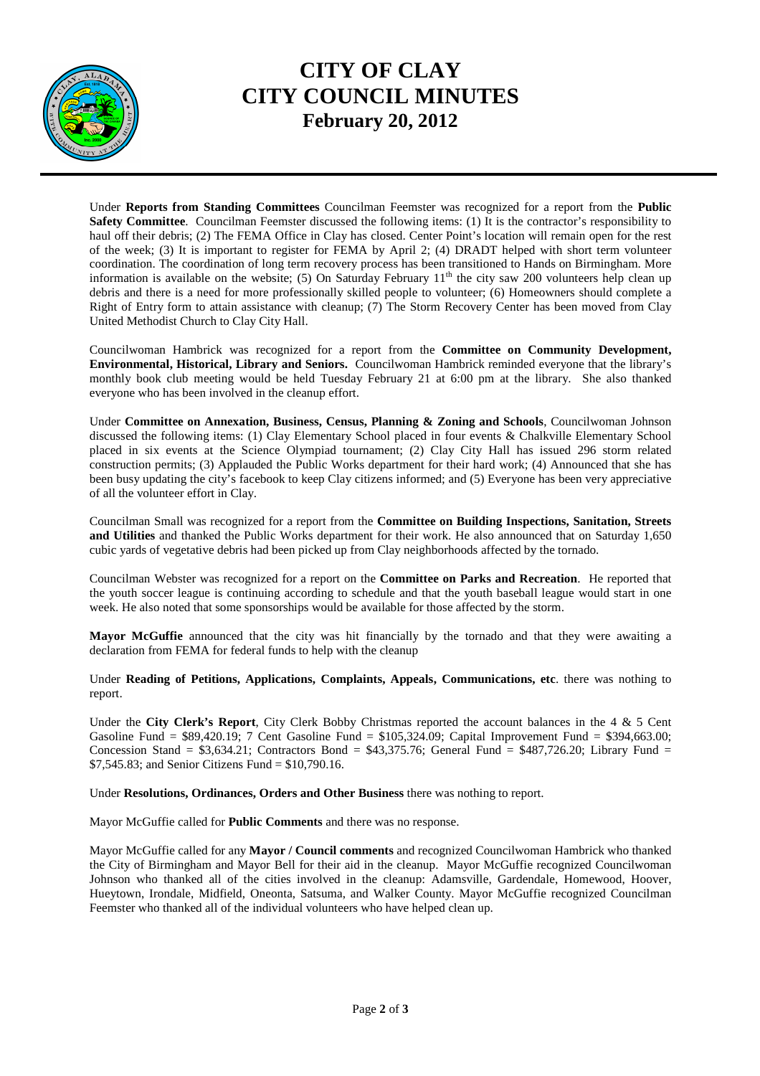

## **CITY OF CLAY CITY COUNCIL MINUTES February 20, 2012**

Under **Reports from Standing Committees** Councilman Feemster was recognized for a report from the **Public Safety Committee**. Councilman Feemster discussed the following items: (1) It is the contractor's responsibility to haul off their debris; (2) The FEMA Office in Clay has closed. Center Point's location will remain open for the rest of the week; (3) It is important to register for FEMA by April 2; (4) DRADT helped with short term volunteer coordination. The coordination of long term recovery process has been transitioned to Hands on Birmingham. More information is available on the website; (5) On Saturday February  $11<sup>th</sup>$  the city saw 200 volunteers help clean up debris and there is a need for more professionally skilled people to volunteer; (6) Homeowners should complete a Right of Entry form to attain assistance with cleanup; (7) The Storm Recovery Center has been moved from Clay United Methodist Church to Clay City Hall.

Councilwoman Hambrick was recognized for a report from the **Committee on Community Development, Environmental, Historical, Library and Seniors.** Councilwoman Hambrick reminded everyone that the library's monthly book club meeting would be held Tuesday February 21 at 6:00 pm at the library. She also thanked everyone who has been involved in the cleanup effort.

Under **Committee on Annexation, Business, Census, Planning & Zoning and Schools**, Councilwoman Johnson discussed the following items: (1) Clay Elementary School placed in four events & Chalkville Elementary School placed in six events at the Science Olympiad tournament; (2) Clay City Hall has issued 296 storm related construction permits; (3) Applauded the Public Works department for their hard work; (4) Announced that she has been busy updating the city's facebook to keep Clay citizens informed; and (5) Everyone has been very appreciative of all the volunteer effort in Clay.

Councilman Small was recognized for a report from the **Committee on Building Inspections, Sanitation, Streets and Utilities** and thanked the Public Works department for their work. He also announced that on Saturday 1,650 cubic yards of vegetative debris had been picked up from Clay neighborhoods affected by the tornado.

Councilman Webster was recognized for a report on the **Committee on Parks and Recreation**. He reported that the youth soccer league is continuing according to schedule and that the youth baseball league would start in one week. He also noted that some sponsorships would be available for those affected by the storm.

**Mayor McGuffie** announced that the city was hit financially by the tornado and that they were awaiting a declaration from FEMA for federal funds to help with the cleanup

Under **Reading of Petitions, Applications, Complaints, Appeals, Communications, etc**. there was nothing to report.

Under the **City Clerk's Report**, City Clerk Bobby Christmas reported the account balances in the 4 & 5 Cent Gasoline Fund = \$89,420.19; 7 Cent Gasoline Fund = \$105,324.09; Capital Improvement Fund = \$394,663.00; Concession Stand =  $$3,634.21$ ; Contractors Bond =  $$43,375.76$ ; General Fund =  $$487,726.20$ ; Library Fund = \$7,545.83; and Senior Citizens Fund =  $$10,790.16$ .

Under **Resolutions, Ordinances, Orders and Other Business** there was nothing to report.

Mayor McGuffie called for **Public Comments** and there was no response.

Mayor McGuffie called for any **Mayor / Council comments** and recognized Councilwoman Hambrick who thanked the City of Birmingham and Mayor Bell for their aid in the cleanup. Mayor McGuffie recognized Councilwoman Johnson who thanked all of the cities involved in the cleanup: Adamsville, Gardendale, Homewood, Hoover, Hueytown, Irondale, Midfield, Oneonta, Satsuma, and Walker County. Mayor McGuffie recognized Councilman Feemster who thanked all of the individual volunteers who have helped clean up.